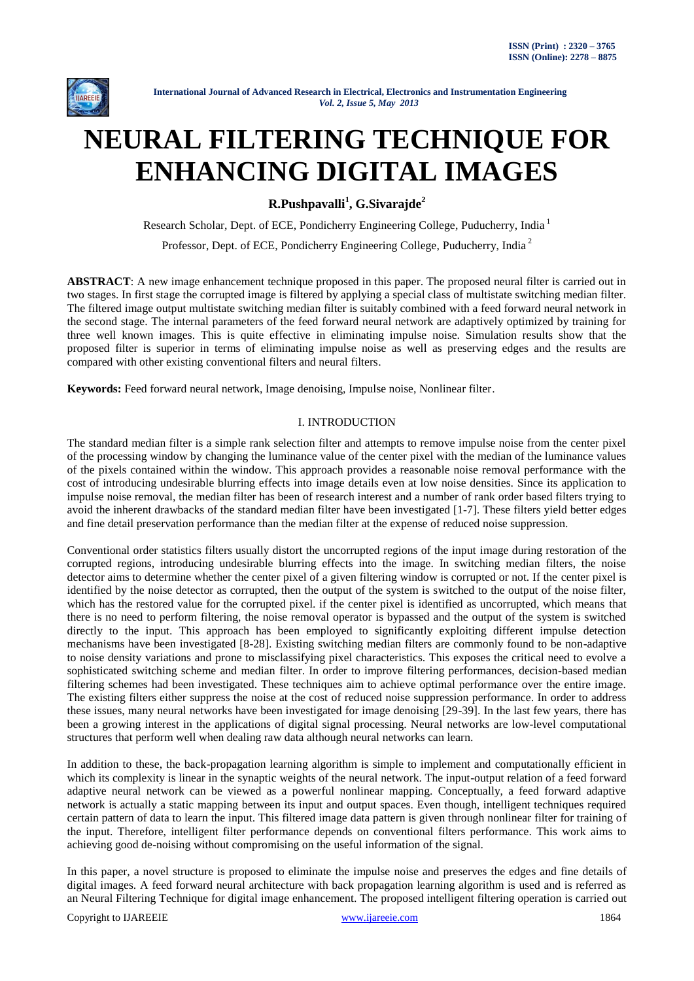

# **NEURAL FILTERING TECHNIQUE FOR ENHANCING DIGITAL IMAGES**

**R.Pushpavalli<sup>1</sup> , G.Sivarajde<sup>2</sup>**

Research Scholar, Dept. of ECE, Pondicherry Engineering College, Puducherry, India <sup>1</sup>

Professor, Dept. of ECE, Pondicherry Engineering College, Puducherry, India <sup>2</sup>

**ABSTRACT**: A new image enhancement technique proposed in this paper. The proposed neural filter is carried out in two stages. In first stage the corrupted image is filtered by applying a special class of multistate switching median filter. The filtered image output multistate switching median filter is suitably combined with a feed forward neural network in the second stage. The internal parameters of the feed forward neural network are adaptively optimized by training for three well known images. This is quite effective in eliminating impulse noise. Simulation results show that the proposed filter is superior in terms of eliminating impulse noise as well as preserving edges and the results are compared with other existing conventional filters and neural filters.

**Keywords:** Feed forward neural network, Image denoising, Impulse noise, Nonlinear filter.

# I. INTRODUCTION

The standard median filter is a simple rank selection filter and attempts to remove impulse noise from the center pixel of the processing window by changing the luminance value of the center pixel with the median of the luminance values of the pixels contained within the window. This approach provides a reasonable noise removal performance with the cost of introducing undesirable blurring effects into image details even at low noise densities. Since its application to impulse noise removal, the median filter has been of research interest and a number of rank order based filters trying to avoid the inherent drawbacks of the standard median filter have been investigated [1-7]. These filters yield better edges and fine detail preservation performance than the median filter at the expense of reduced noise suppression.

Conventional order statistics filters usually distort the uncorrupted regions of the input image during restoration of the corrupted regions, introducing undesirable blurring effects into the image. In switching median filters, the noise detector aims to determine whether the center pixel of a given filtering window is corrupted or not. If the center pixel is identified by the noise detector as corrupted, then the output of the system is switched to the output of the noise filter, which has the restored value for the corrupted pixel. if the center pixel is identified as uncorrupted, which means that there is no need to perform filtering, the noise removal operator is bypassed and the output of the system is switched directly to the input. This approach has been employed to significantly exploiting different impulse detection mechanisms have been investigated [8-28]. Existing switching median filters are commonly found to be non-adaptive to noise density variations and prone to misclassifying pixel characteristics. This exposes the critical need to evolve a sophisticated switching scheme and median filter. In order to improve filtering performances, decision-based median filtering schemes had been investigated. These techniques aim to achieve optimal performance over the entire image. The existing filters either suppress the noise at the cost of reduced noise suppression performance. In order to address these issues, many neural networks have been investigated for image denoising [29-39]. In the last few years, there has been a growing interest in the applications of digital signal processing. Neural networks are low-level computational structures that perform well when dealing raw data although neural networks can learn.

In addition to these, the back-propagation learning algorithm is simple to implement and computationally efficient in which its complexity is linear in the synaptic weights of the neural network. The input-output relation of a feed forward adaptive neural network can be viewed as a powerful nonlinear mapping. Conceptually, a feed forward adaptive network is actually a static mapping between its input and output spaces. Even though, intelligent techniques required certain pattern of data to learn the input. This filtered image data pattern is given through nonlinear filter for training of the input. Therefore, intelligent filter performance depends on conventional filters performance. This work aims to achieving good de-noising without compromising on the useful information of the signal.

In this paper, a novel structure is proposed to eliminate the impulse noise and preserves the edges and fine details of digital images. A feed forward neural architecture with back propagation learning algorithm is used and is referred as an Neural Filtering Technique for digital image enhancement. The proposed intelligent filtering operation is carried out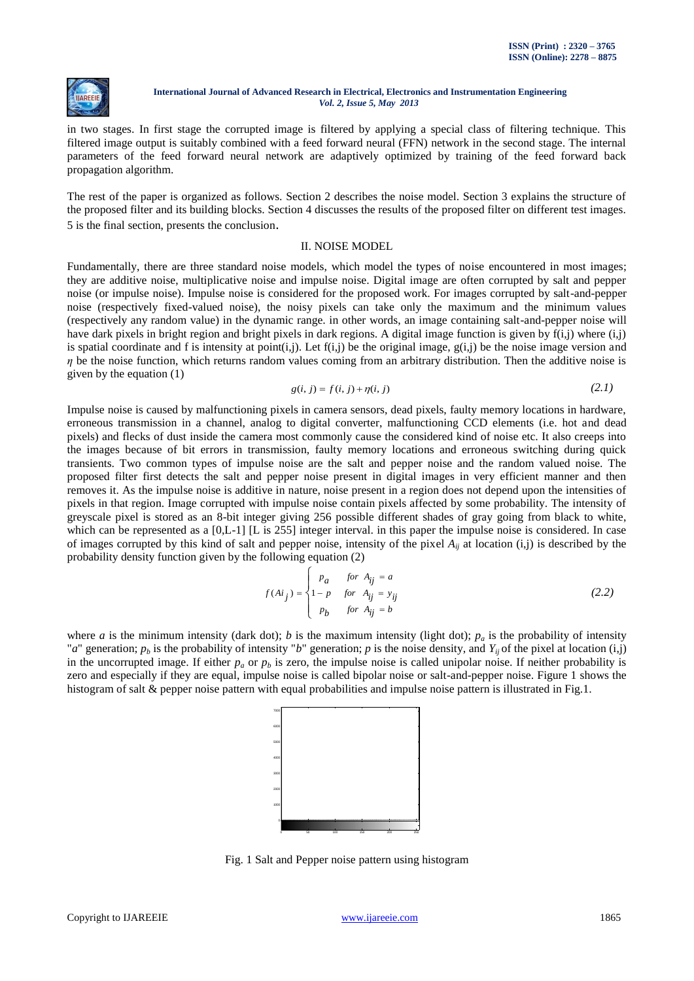

in two stages. In first stage the corrupted image is filtered by applying a special class of filtering technique. This filtered image output is suitably combined with a feed forward neural (FFN) network in the second stage. The internal parameters of the feed forward neural network are adaptively optimized by training of the feed forward back propagation algorithm.

The rest of the paper is organized as follows. Section 2 describes the noise model. Section 3 explains the structure of the proposed filter and its building blocks. Section 4 discusses the results of the proposed filter on different test images. 5 is the final section, presents the conclusion.

## II. NOISE MODEL

Fundamentally, there are three standard noise models, which model the types of noise encountered in most images; they are additive noise, multiplicative noise and impulse noise. Digital image are often corrupted by salt and pepper noise (or impulse noise). Impulse noise is considered for the proposed work. For images corrupted by salt-and-pepper noise (respectively fixed-valued noise), the noisy pixels can take only the maximum and the minimum values (respectively any random value) in the dynamic range. in other words, an image containing salt-and-pepper noise will have dark pixels in bright region and bright pixels in dark regions. A digital image function is given by  $f(i,j)$  where  $(i,j)$ is spatial coordinate and f is intensity at point(i,j). Let  $f(i,j)$  be the original image,  $g(i,j)$  be the noise image version and *η* be the noise function, which returns random values coming from an arbitrary distribution. Then the additive noise is given by the equation (1)

$$
g(i, j) = f(i, j) + \eta(i, j)
$$
\n(2.1)

Impulse noise is caused by malfunctioning pixels in camera sensors, dead pixels, faulty memory locations in hardware, erroneous transmission in a channel, analog to digital converter, malfunctioning CCD elements (i.e. hot and dead pixels) and flecks of dust inside the camera most commonly cause the considered kind of noise etc. It also creeps into the images because of bit errors in transmission, faulty memory locations and erroneous switching during quick transients. Two common types of impulse noise are the salt and pepper noise and the random valued noise. The proposed filter first detects the salt and pepper noise present in digital images in very efficient manner and then removes it. As the impulse noise is additive in nature, noise present in a region does not depend upon the intensities of pixels in that region. Image corrupted with impulse noise contain pixels affected by some probability. The intensity of greyscale pixel is stored as an 8-bit integer giving 256 possible different shades of gray going from black to white, which can be represented as a [0,L-1] [L is 255] integer interval. in this paper the impulse noise is considered. In case of images corrupted by this kind of salt and pepper noise, intensity of the pixel  $A_{ij}$  at location  $(i,j)$  is described by the probability density function given by the following equation (2)

$$
f(Ai_j) = \begin{cases} p_a & \text{for } A_{ij} = a \\ 1 - p & \text{for } A_{ij} = y_{ij} \\ p_b & \text{for } A_{ij} = b \end{cases}
$$
 (2.2)

where *a* is the minimum intensity (dark dot); *b* is the maximum intensity (light dot);  $p_a$  is the probability of intensity "*a*" generation;  $p_b$  is the probability of intensity "*b*" generation; *p* is the noise density, and  $Y_i$  of the pixel at location (i,j) in the uncorrupted image. If either  $p_a$  or  $p_b$  is zero, the impulse noise is called unipolar noise. If neither probability is zero and especially if they are equal, impulse noise is called bipolar noise or salt-and-pepper noise. Figure 1 shows the histogram of salt & pepper noise pattern with equal probabilities and impulse noise pattern is illustrated in Fig.1.



Fig. 1 Salt and Pepper noise pattern using histogram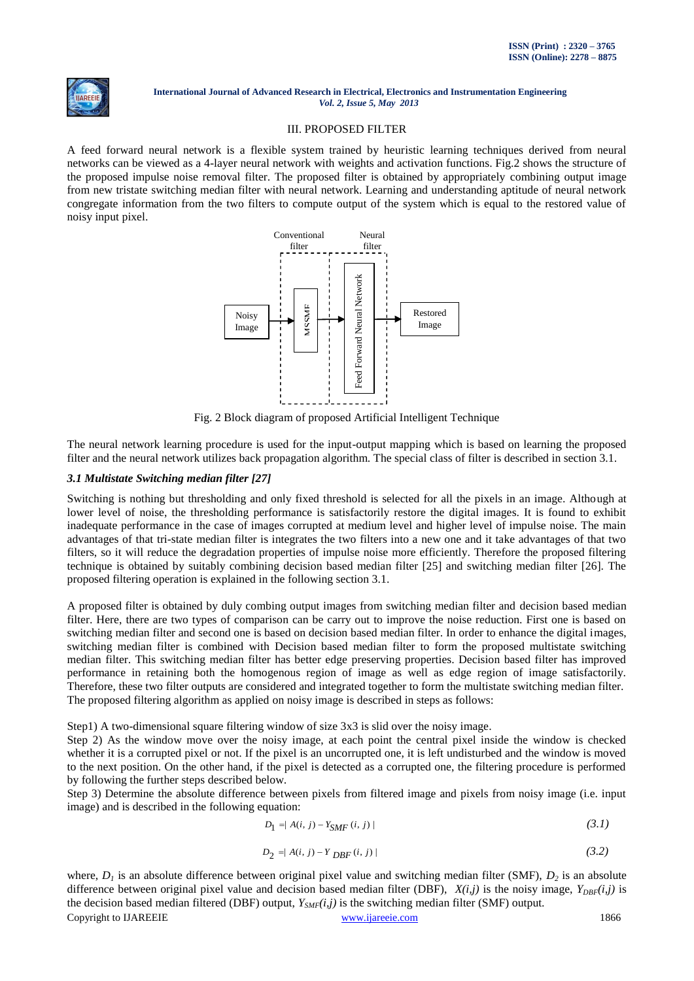

## III. PROPOSED FILTER

A feed forward neural network is a flexible system trained by heuristic learning techniques derived from neural networks can be viewed as a 4-layer neural network with weights and activation functions. Fig.2 shows the structure of the proposed impulse noise removal filter. The proposed filter is obtained by appropriately combining output image from new tristate switching median filter with neural network. Learning and understanding aptitude of neural network congregate information from the two filters to compute output of the system which is equal to the restored value of noisy input pixel.



Fig. 2 Block diagram of proposed Artificial Intelligent Technique

The neural network learning procedure is used for the input-output mapping which is based on learning the proposed filter and the neural network utilizes back propagation algorithm. The special class of filter is described in section 3.1.

# *3.1 Multistate Switching median filter [27]*

Switching is nothing but thresholding and only fixed threshold is selected for all the pixels in an image. Although at lower level of noise, the thresholding performance is satisfactorily restore the digital images. It is found to exhibit inadequate performance in the case of images corrupted at medium level and higher level of impulse noise. The main advantages of that tri-state median filter is integrates the two filters into a new one and it take advantages of that two filters, so it will reduce the degradation properties of impulse noise more efficiently. Therefore the proposed filtering technique is obtained by suitably combining decision based median filter [25] and switching median filter [26]. The proposed filtering operation is explained in the following section 3.1.

A proposed filter is obtained by duly combing output images from switching median filter and decision based median filter. Here, there are two types of comparison can be carry out to improve the noise reduction. First one is based on switching median filter and second one is based on decision based median filter. In order to enhance the digital images, switching median filter is combined with Decision based median filter to form the proposed multistate switching median filter. This switching median filter has better edge preserving properties. Decision based filter has improved performance in retaining both the homogenous region of image as well as edge region of image satisfactorily. Therefore, these two filter outputs are considered and integrated together to form the multistate switching median filter. The proposed filtering algorithm as applied on noisy image is described in steps as follows:

Step1) A two-dimensional square filtering window of size 3x3 is slid over the noisy image.

Step 2) As the window move over the noisy image, at each point the central pixel inside the window is checked whether it is a corrupted pixel or not. If the pixel is an uncorrupted one, it is left undisturbed and the window is moved to the next position. On the other hand, if the pixel is detected as a corrupted one, the filtering procedure is performed by following the further steps described below.

Step 3) Determine the absolute difference between pixels from filtered image and pixels from noisy image (i.e. input image) and is described in the following equation:

$$
D_1 = | A(i, j) - Y_{SMF}(i, j) |
$$
\n(3.1)

$$
D_2 = |A(i, j) - Y_{DBF}(i, j)| \tag{3.2}
$$

Copyright to IJAREEIE [www.ijareeie.com](http://www.ijareeie.com/) 1866 where,  $D_1$  is an absolute difference between original pixel value and switching median filter (SMF),  $D_2$  is an absolute difference between original pixel value and decision based median filter (DBF),  $X(i,j)$  is the noisy image,  $Y_{DRF}(i,j)$  is the decision based median filtered (DBF) output,  $Y_{\text{SMF}}(i,j)$  is the switching median filter (SMF) output.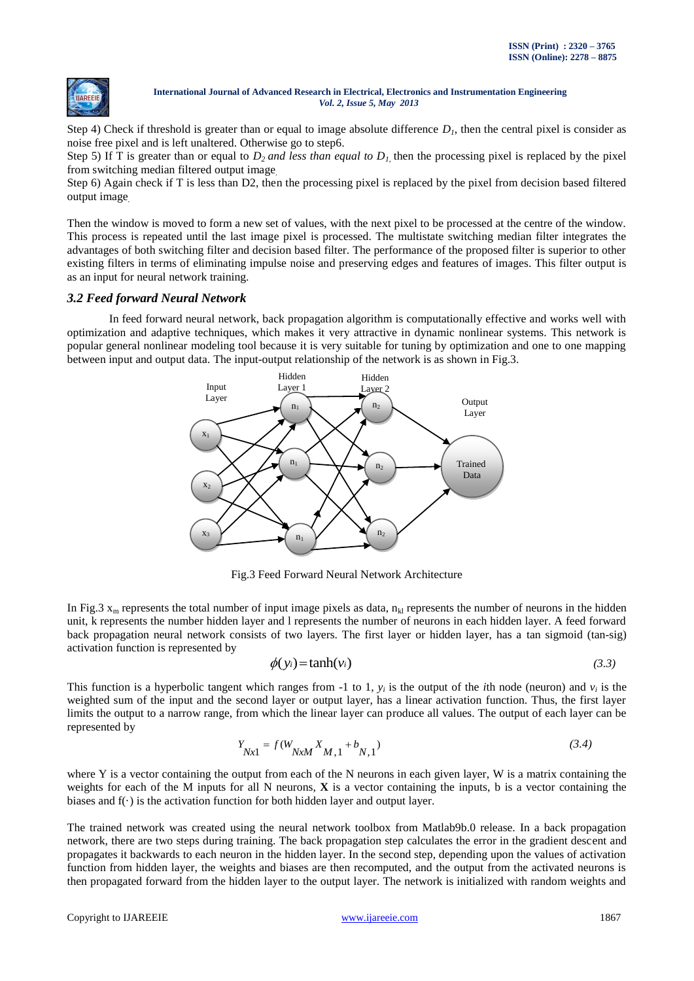

Step 4) Check if threshold is greater than or equal to image absolute difference  $D<sub>l</sub>$ , then the central pixel is consider as noise free pixel and is left unaltered. Otherwise go to step6.

Step 5) If T is greater than or equal to  $D_2$  *and less than equal to*  $D_1$  then the processing pixel is replaced by the pixel from switching median filtered output image*.*

Step 6) Again check if T is less than D2, then the processing pixel is replaced by the pixel from decision based filtered output image*.*

Then the window is moved to form a new set of values, with the next pixel to be processed at the centre of the window. This process is repeated until the last image pixel is processed. The multistate switching median filter integrates the advantages of both switching filter and decision based filter. The performance of the proposed filter is superior to other existing filters in terms of eliminating impulse noise and preserving edges and features of images. This filter output is as an input for neural network training.

# *3.2 Feed forward Neural Network*

In feed forward neural network, back propagation algorithm is computationally effective and works well with optimization and adaptive techniques, which makes it very attractive in dynamic nonlinear systems. This network is popular general nonlinear modeling tool because it is very suitable for tuning by optimization and one to one mapping between input and output data. The input-output relationship of the network is as shown in Fig.3.



Fig.3 Feed Forward Neural Network Architecture

In Fig.3  $x_m$  represents the total number of input image pixels as data,  $n_{kl}$  represents the number of neurons in the hidden unit, k represents the number hidden layer and l represents the number of neurons in each hidden layer. A feed forward back propagation neural network consists of two layers. The first layer or hidden layer, has a tan sigmoid (tan-sig) activation function is represented by

$$
\phi(y_i) = \tanh(v_i) \tag{3.3}
$$

This function is a hyperbolic tangent which ranges from  $-1$  to 1,  $y_i$  is the output of the *i*th node (neuron) and  $v_i$  is the weighted sum of the input and the second layer or output layer, has a linear activation function. Thus, the first layer limits the output to a narrow range, from which the linear layer can produce all values. The output of each layer can be represented by

$$
Y_{Nx1} = f(W_{NxM} X_{M,1} + b_{N,1})
$$
\n(3.4)

where Y is a vector containing the output from each of the N neurons in each given layer, W is a matrix containing the weights for each of the M inputs for all N neurons, **X** is a vector containing the inputs, b is a vector containing the biases and  $f(\cdot)$  is the activation function for both hidden layer and output layer.

The trained network was created using the neural network toolbox from Matlab9b.0 release. In a back propagation network, there are two steps during training. The back propagation step calculates the error in the gradient descent and propagates it backwards to each neuron in the hidden layer. In the second step, depending upon the values of activation function from hidden layer, the weights and biases are then recomputed, and the output from the activated neurons is then propagated forward from the hidden layer to the output layer. The network is initialized with random weights and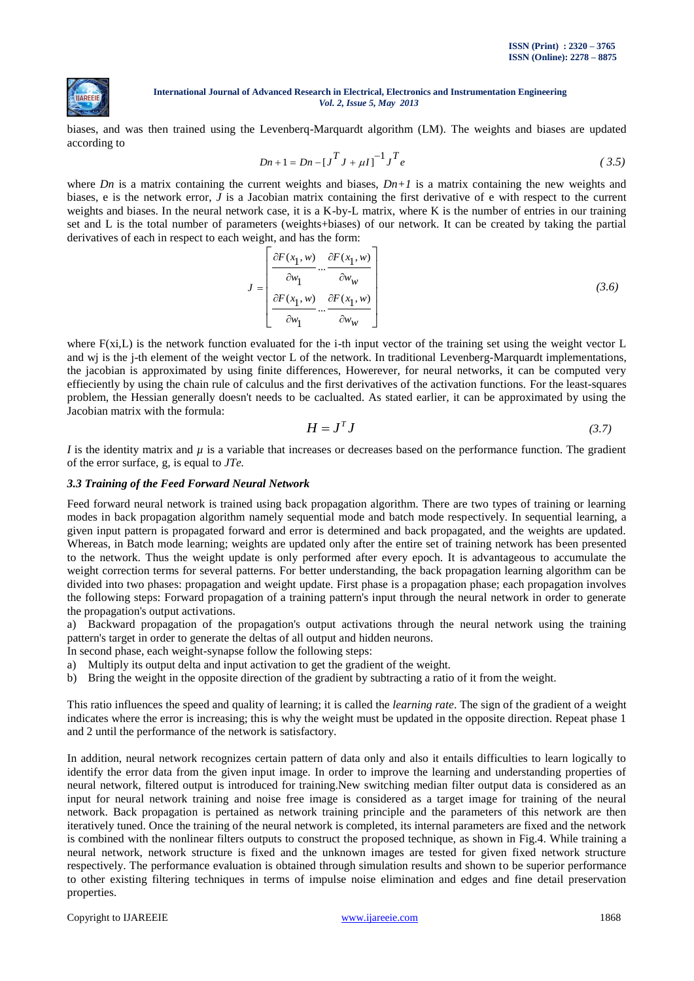

biases, and was then trained using the Levenberq-Marquardt algorithm (LM). The weights and biases are updated according to

$$
Dn + 1 = Dn - [J^T J + \mu I]^{-1} J^T e
$$
 (3.5)

where *Dn* is a matrix containing the current weights and biases,  $Dn+1$  is a matrix containing the new weights and biases, e is the network error, *J* is a Jacobian matrix containing the first derivative of e with respect to the current weights and biases. In the neural network case, it is a K-by-L matrix, where K is the number of entries in our training set and L is the total number of parameters (weights+biases) of our network. It can be created by taking the partial derivatives of each in respect to each weight, and has the form:

$$
J = \begin{bmatrix} \frac{\partial F(x_1, w)}{\partial w_1} ... \frac{\partial F(x_1, w)}{\partial w_w} \\ \frac{\partial F(x_1, w)}{\partial w_1} ... \frac{\partial F(x_1, w)}{\partial w_w} \end{bmatrix}
$$
(3.6)

where  $F(x_i, L)$  is the network function evaluated for the i-th input vector of the training set using the weight vector  $L$ and wj is the j-th element of the weight vector L of the network. In traditional Levenberg-Marquardt implementations, the jacobian is approximated by using finite differences, Howerever, for neural networks, it can be computed very effieciently by using the chain rule of calculus and the first derivatives of the activation functions. For the least-squares problem, the Hessian generally doesn't needs to be caclualted. As stated earlier, it can be approximated by using the Jacobian matrix with the formula:

$$
H = J^T J \tag{3.7}
$$

*I* is the identity matrix and  $\mu$  is a variable that increases or decreases based on the performance function. The gradient of the error surface, g, is equal to *JTe.*

# *3.3 Training of the Feed Forward Neural Network*

Feed forward neural network is trained using back propagation algorithm. There are two types of training or learning modes in back propagation algorithm namely sequential mode and batch mode respectively. In sequential learning, a given input pattern is propagated forward and error is determined and back propagated, and the weights are updated. Whereas, in Batch mode learning; weights are updated only after the entire set of training network has been presented to the network. Thus the weight update is only performed after every epoch. It is advantageous to accumulate the weight correction terms for several patterns. For better understanding, the back propagation learning algorithm can be divided into two phases: propagation and weight update. First phase is a propagation phase; each propagation involves the following steps: Forward propagation of a training pattern's input through the neural network in order to generate the propagation's output activations.

a) Backward propagation of the propagation's output activations through the neural network using the training pattern's target in order to generate the deltas of all output and hidden neurons.

In second phase, each weight-synapse follow the following steps:

- a) Multiply its output delta and input activation to get the gradient of the weight.
- b) Bring the weight in the opposite direction of the gradient by subtracting a ratio of it from the weight.

This ratio influences the speed and quality of learning; it is called the *learning rate*. The sign of the gradient of a weight indicates where the error is increasing; this is why the weight must be updated in the opposite direction. Repeat phase 1 and 2 until the performance of the network is satisfactory.

In addition, neural network recognizes certain pattern of data only and also it entails difficulties to learn logically to identify the error data from the given input image. In order to improve the learning and understanding properties of neural network, filtered output is introduced for training.New switching median filter output data is considered as an input for neural network training and noise free image is considered as a target image for training of the neural network. Back propagation is pertained as network training principle and the parameters of this network are then iteratively tuned. Once the training of the neural network is completed, its internal parameters are fixed and the network is combined with the nonlinear filters outputs to construct the proposed technique, as shown in Fig.4. While training a neural network, network structure is fixed and the unknown images are tested for given fixed network structure respectively. The performance evaluation is obtained through simulation results and shown to be superior performance to other existing filtering techniques in terms of impulse noise elimination and edges and fine detail preservation properties.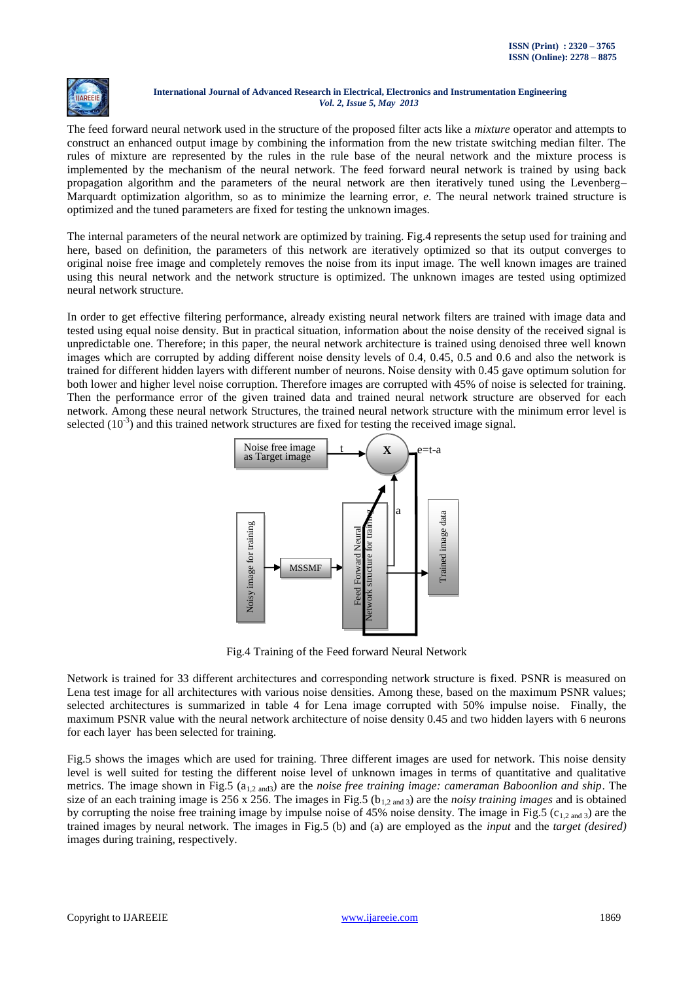

The feed forward neural network used in the structure of the proposed filter acts like a *mixture* operator and attempts to construct an enhanced output image by combining the information from the new tristate switching median filter. The rules of mixture are represented by the rules in the rule base of the neural network and the mixture process is implemented by the mechanism of the neural network. The feed forward neural network is trained by using back propagation algorithm and the parameters of the neural network are then iteratively tuned using the Levenberg– Marquardt optimization algorithm, so as to minimize the learning error, *e*. The neural network trained structure is optimized and the tuned parameters are fixed for testing the unknown images.

The internal parameters of the neural network are optimized by training. Fig.4 represents the setup used for training and here, based on definition, the parameters of this network are iteratively optimized so that its output converges to original noise free image and completely removes the noise from its input image. The well known images are trained using this neural network and the network structure is optimized. The unknown images are tested using optimized neural network structure.

In order to get effective filtering performance, already existing neural network filters are trained with image data and tested using equal noise density. But in practical situation, information about the noise density of the received signal is unpredictable one. Therefore; in this paper, the neural network architecture is trained using denoised three well known images which are corrupted by adding different noise density levels of 0.4, 0.45, 0.5 and 0.6 and also the network is trained for different hidden layers with different number of neurons. Noise density with 0.45 gave optimum solution for both lower and higher level noise corruption. Therefore images are corrupted with 45% of noise is selected for training. Then the performance error of the given trained data and trained neural network structure are observed for each network. Among these neural network Structures, the trained neural network structure with the minimum error level is selected  $(10^{-3})$  and this trained network structures are fixed for testing the received image signal.



Fig.4 Training of the Feed forward Neural Network

Network is trained for 33 different architectures and corresponding network structure is fixed. PSNR is measured on Lena test image for all architectures with various noise densities. Among these, based on the maximum PSNR values; selected architectures is summarized in table 4 for Lena image corrupted with 50% impulse noise. Finally, the maximum PSNR value with the neural network architecture of noise density 0.45 and two hidden layers with 6 neurons for each layer has been selected for training.

Fig.5 shows the images which are used for training. Three different images are used for network. This noise density level is well suited for testing the different noise level of unknown images in terms of quantitative and qualitative metrics. The image shown in Fig.5 (a<sub>1,2 and3</sub>) are the *noise free training image: cameraman Baboonlion and ship*. The size of an each training image is  $256 \times 256$ . The images in Fig.5 ( $b_{1,2 \text{ and } 3}$ ) are the *noisy training images* and is obtained by corrupting the noise free training image by impulse noise of 45% noise density. The image in Fig.5 ( $c_{1,2 \text{ and } 3}$ ) are the trained images by neural network. The images in Fig.5 (b) and (a) are employed as the *input* and the *target (desired)*  images during training, respectively.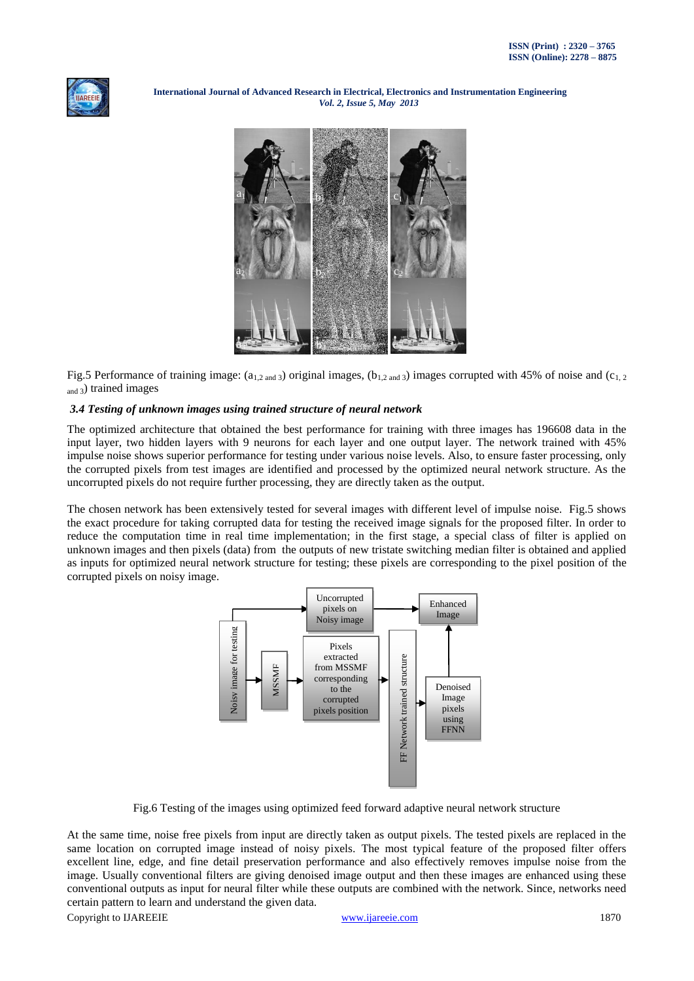



Fig.5 Performance of training image:  $(a_{1,2 \text{ and } 3})$  original images,  $(b_{1,2 \text{ and } 3})$  images corrupted with 45% of noise and  $(c_{1,2})$ and 3) trained images

# *3.4 Testing of unknown images using trained structure of neural network*

The optimized architecture that obtained the best performance for training with three images has 196608 data in the input layer, two hidden layers with 9 neurons for each layer and one output layer. The network trained with 45% impulse noise shows superior performance for testing under various noise levels. Also, to ensure faster processing, only the corrupted pixels from test images are identified and processed by the optimized neural network structure. As the uncorrupted pixels do not require further processing, they are directly taken as the output.

The chosen network has been extensively tested for several images with different level of impulse noise. Fig.5 shows the exact procedure for taking corrupted data for testing the received image signals for the proposed filter. In order to reduce the computation time in real time implementation; in the first stage, a special class of filter is applied on unknown images and then pixels (data) from the outputs of new tristate switching median filter is obtained and applied as inputs for optimized neural network structure for testing; these pixels are corresponding to the pixel position of the corrupted pixels on noisy image.



Fig.6 Testing of the images using optimized feed forward adaptive neural network structure

At the same time, noise free pixels from input are directly taken as output pixels. The tested pixels are replaced in the same location on corrupted image instead of noisy pixels. The most typical feature of the proposed filter offers excellent line, edge, and fine detail preservation performance and also effectively removes impulse noise from the image. Usually conventional filters are giving denoised image output and then these images are enhanced using these conventional outputs as input for neural filter while these outputs are combined with the network. Since, networks need certain pattern to learn and understand the given data.

Copyright to IJAREEIE [www.ijareeie.com](http://www.ijareeie.com/) 1870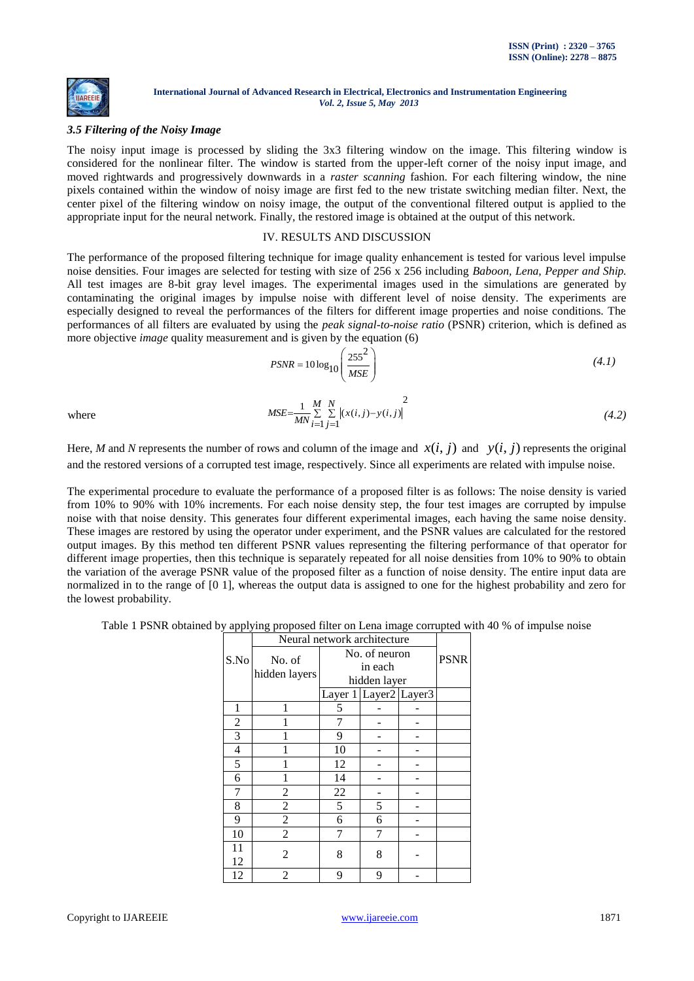

# *3.5 Filtering of the Noisy Image*

The noisy input image is processed by sliding the 3x3 filtering window on the image. This filtering window is considered for the nonlinear filter. The window is started from the upper-left corner of the noisy input image, and moved rightwards and progressively downwards in a *raster scanning* fashion. For each filtering window, the nine pixels contained within the window of noisy image are first fed to the new tristate switching median filter. Next, the center pixel of the filtering window on noisy image, the output of the conventional filtered output is applied to the appropriate input for the neural network. Finally, the restored image is obtained at the output of this network.

# IV. RESULTS AND DISCUSSION

The performance of the proposed filtering technique for image quality enhancement is tested for various level impulse noise densities. Four images are selected for testing with size of 256 x 256 including *Baboon, Lena, Pepper and Ship.*  All test images are 8-bit gray level images. The experimental images used in the simulations are generated by contaminating the original images by impulse noise with different level of noise density. The experiments are especially designed to reveal the performances of the filters for different image properties and noise conditions. The performances of all filters are evaluated by using the *peak signal-to-noise ratio* (PSNR) criterion, which is defined as more objective *image* quality measurement and is given by the equation (6)

$$
PSNR = 10 \log_{10} \left( \frac{255^2}{MSE} \right) \tag{4.1}
$$

where

$$
MSE = \frac{1}{MN} \sum_{i=1}^{M} \sum_{j=1}^{N} |(x(i,j) - y(i,j)|^2
$$
\n(4.2)

Here, *M* and *N* represents the number of rows and column of the image and  $x(i, j)$  and  $y(i, j)$  represents the original and the restored versions of a corrupted test image, respectively. Since all experiments are related with impulse noise.

The experimental procedure to evaluate the performance of a proposed filter is as follows: The noise density is varied from 10% to 90% with 10% increments. For each noise density step, the four test images are corrupted by impulse noise with that noise density. This generates four different experimental images, each having the same noise density. These images are restored by using the operator under experiment, and the PSNR values are calculated for the restored output images. By this method ten different PSNR values representing the filtering performance of that operator for different image properties, then this technique is separately repeated for all noise densities from 10% to 90% to obtain the variation of the average PSNR value of the proposed filter as a function of noise density. The entire input data are normalized in to the range of [0 1], whereas the output data is assigned to one for the highest probability and zero for the lowest probability.

Table 1 PSNR obtained by applying proposed filter on Lena image corrupted with 40 % of impulse noise

|                | Neural network architecture |                       |               |  |             |  |  |
|----------------|-----------------------------|-----------------------|---------------|--|-------------|--|--|
| S.No           | No. of                      |                       | No. of neuron |  | <b>PSNR</b> |  |  |
|                | hidden layers               | in each               |               |  |             |  |  |
|                |                             |                       | hidden layer  |  |             |  |  |
|                |                             | Layer 1 Layer2 Layer3 |               |  |             |  |  |
| 1              | 1                           | 5                     |               |  |             |  |  |
| $\overline{2}$ |                             | 7                     |               |  |             |  |  |
| 3              |                             | 9                     |               |  |             |  |  |
| 4              |                             | 10                    |               |  |             |  |  |
| 5              |                             | 12                    |               |  |             |  |  |
| 6              |                             | 14                    |               |  |             |  |  |
| 7              | 2                           | 22                    |               |  |             |  |  |
| 8              | $\overline{c}$              | 5                     | 5             |  |             |  |  |
| 9              | $\overline{c}$              | 6                     | 6             |  |             |  |  |
| 10             | $\overline{2}$              |                       | 7             |  |             |  |  |
| 11             | $\overline{c}$              | 8                     | 8             |  |             |  |  |
| 12             |                             |                       |               |  |             |  |  |
| 12             | $\overline{c}$              | 9                     | 9             |  |             |  |  |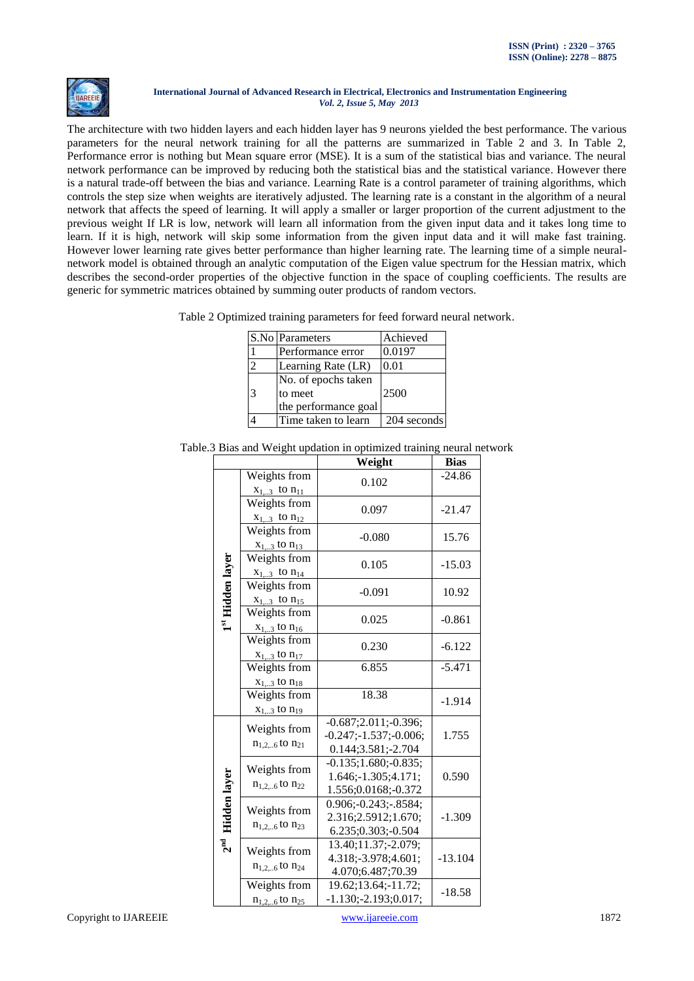

The architecture with two hidden layers and each hidden layer has 9 neurons yielded the best performance. The various parameters for the neural network training for all the patterns are summarized in Table 2 and 3. In Table 2, Performance error is nothing but Mean square error (MSE). It is a sum of the statistical bias and variance. The neural network performance can be improved by reducing both the statistical bias and the statistical variance. However there is a natural trade-off between the bias and variance. Learning Rate is a control parameter of training algorithms, which controls the step size when weights are iteratively adjusted. The learning rate is a constant in the algorithm of a neural network that affects the speed of learning. It will apply a smaller or larger proportion of the current adjustment to the previous weight If LR is low, network will learn all information from the given input data and it takes long time to learn. If it is high, network will skip some information from the given input data and it will make fast training. However lower learning rate gives better performance than higher learning rate. The learning time of a simple neuralnetwork model is obtained through an analytic computation of the Eigen value spectrum for the Hessian matrix, which describes the second-order properties of the objective function in the space of coupling coefficients. The results are generic for symmetric matrices obtained by summing outer products of random vectors.

|  | Table 2 Optimized training parameters for feed forward neural network. |  |  |
|--|------------------------------------------------------------------------|--|--|
|  |                                                                        |  |  |
|  |                                                                        |  |  |
|  |                                                                        |  |  |

|                | S.No Parameters      | Achieved    |
|----------------|----------------------|-------------|
|                | Performance error    | 0.0197      |
| $\mathfrak{D}$ | Learning Rate (LR)   | 0.01        |
|                | No. of epochs taken  |             |
| ا ج            | to meet              | 2500        |
|                | the performance goal |             |
|                | Time taken to learn  | 204 seconds |

| Table.3 Bias and Weight updation in optimized training neural network |  |  |
|-----------------------------------------------------------------------|--|--|
|                                                                       |  |  |

|                    |                                         | Weight                                                                     | <b>Bias</b> |
|--------------------|-----------------------------------------|----------------------------------------------------------------------------|-------------|
|                    | Weights from<br>$x_{13}$ to $n_{11}$    | 0.102                                                                      | $-24.86$    |
|                    | Weights from<br>$x_{13}$ to $n_{12}$    | 0.097                                                                      | $-21.47$    |
|                    | Weights from<br>$x_{13}$ to $n_{13}$    | $-0.080$                                                                   | 15.76       |
| 1st Hidden layer   | Weights from<br>$x_{13}$ to $n_{14}$    | 0.105                                                                      | $-15.03$    |
|                    | Weights from<br>$x_{13}$ to $n_{15}$    | $-0.091$                                                                   | 10.92       |
|                    | Weights from<br>$x_{13}$ to $n_{16}$    | 0.025                                                                      | $-0.861$    |
|                    | Weights from<br>$x_{1,3}$ to $n_{17}$   | 0.230                                                                      | $-6.122$    |
|                    | Weights from<br>$x_{13}$ to $n_{18}$    | 6.855                                                                      | $-5.471$    |
|                    | Weights from<br>$x_{13}$ to $n_{19}$    | 18.38                                                                      | $-1.914$    |
|                    | Weights from<br>$n_{1,26}$ to $n_{21}$  | $-0.687;2.011; -0.396;$<br>$-0.247; -1.537; -0.006;$<br>0.144;3.581;-2.704 | 1.755       |
|                    | Weights from<br>$n_{1,2,6}$ to $n_{22}$ | $-0.135;1.680; -0.835;$<br>1.646;-1.305;4.171;<br>1.556;0.0168;-0.372      | 0.590       |
| $2nd$ Hidden layer | Weights from<br>$n_{1,2,6}$ to $n_{23}$ | $0.906; -0.243; -8584;$<br>2.316;2.5912;1.670;<br>6.235;0.303;-0.504       | $-1.309$    |
|                    | Weights from<br>$n_{1,26}$ to $n_{24}$  | 13.40;11.37;-2.079;<br>4.318;-3.978;4.601;<br>4.070;6.487;70.39            | $-13.104$   |
|                    | Weights from<br>$n_{1,2,6}$ to $n_{25}$ | 19.62;13.64;-11.72;<br>$-1.130; -2.193; 0.017;$                            | $-18.58$    |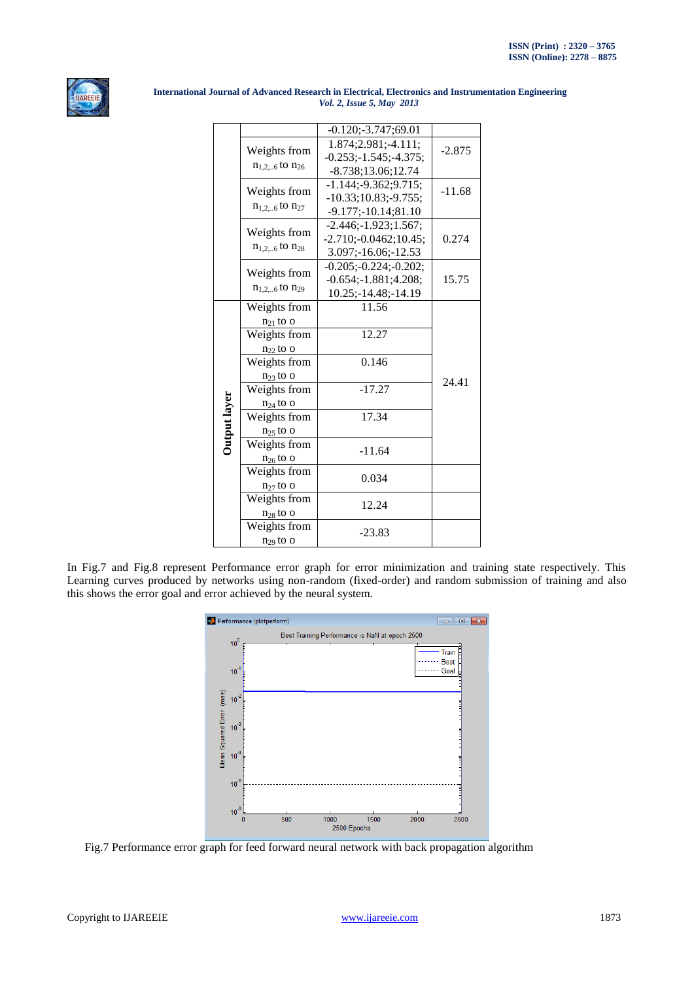

|              |                         | $-0.120; -3.747; 69.01$   |          |
|--------------|-------------------------|---------------------------|----------|
|              | Weights from            | 1.874;2.981;-4.111;       | $-2.875$ |
|              | $n_{1,2,6}$ to $n_{26}$ | $-0.253; -1.545; -4.375;$ |          |
|              |                         | $-8.738;13.06;12.74$      |          |
|              | Weights from            | $-1.144; -9.362; 9.715;$  | $-11.68$ |
|              | $n_{1,2,6}$ to $n_{27}$ | $-10.33;10.83; -9.755;$   |          |
|              |                         | $-9.177; -10.14; 81.10$   |          |
|              | Weights from            | $-2.446; -1.923; 1.567;$  |          |
|              | $n_{1,26}$ to $n_{28}$  | $-2.710; -0.0462; 10.45;$ | 0.274    |
|              |                         | 3.097;-16.06;-12.53       |          |
|              | Weights from            | $-0.205; -0.224; -0.202;$ |          |
|              | $n_{1,2,6}$ to $n_{29}$ | $-0.654; -1.881; 4.208;$  | 15.75    |
|              |                         | 10.25;-14.48;-14.19       |          |
|              | Weights from            | 11.56                     |          |
|              | $n_{21}$ to o           |                           |          |
|              | Weights from            | 12.27                     |          |
|              | $n_{22}$ to o           |                           |          |
|              | Weights from            | 0.146                     |          |
|              | $n_{23}$ to o           |                           | 24.41    |
|              | Weights from            | $-17.27$                  |          |
|              | $n_{24}$ to o           |                           |          |
|              | Weights from            | 17.34                     |          |
|              | $n_{25}$ to o           |                           |          |
| Output layer | Weights from            | $-11.64$                  |          |
|              | $n_{26}$ to o           |                           |          |
|              | Weights from            | 0.034                     |          |
|              | $n_{27}$ to o           |                           |          |
|              | Weights from            | 12.24                     |          |
|              | $n_{28}$ to o           |                           |          |
|              | Weights from            | -23.83                    |          |
|              | $n_{29}$ to o           |                           |          |

In Fig.7 and Fig.8 represent Performance error graph for error minimization and training state respectively. This Learning curves produced by networks using non-random (fixed-order) and random submission of training and also this shows the error goal and error achieved by the neural system.



Fig.7 Performance error graph for feed forward neural network with back propagation algorithm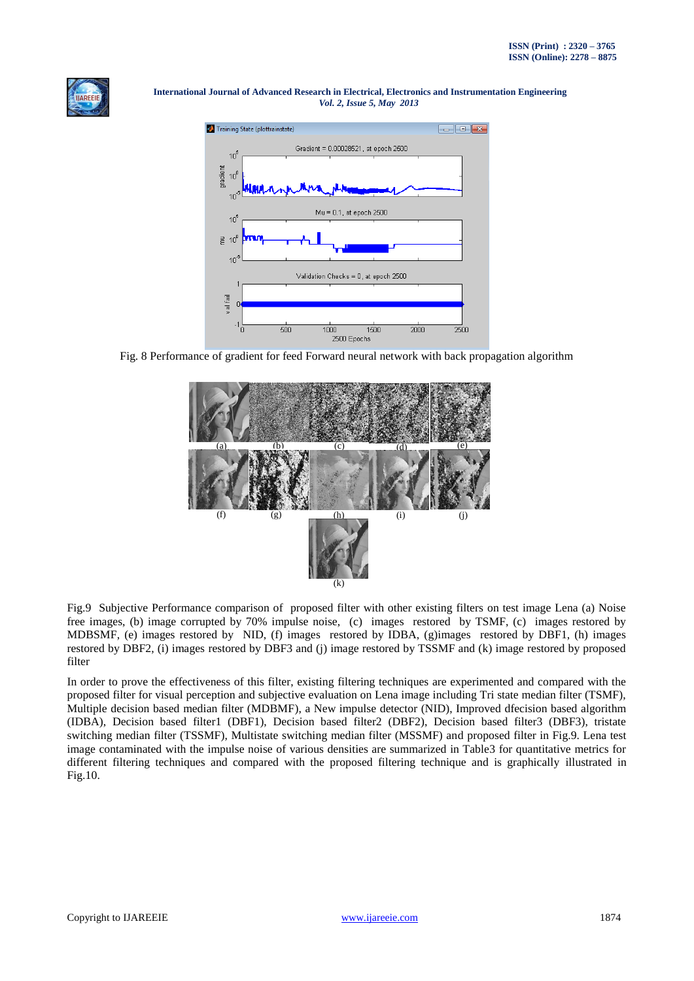



Fig. 8 Performance of gradient for feed Forward neural network with back propagation algorithm



Fig.9 Subjective Performance comparison of proposed filter with other existing filters on test image Lena (a) Noise free images, (b) image corrupted by 70% impulse noise, (c) images restored by TSMF, (c) images restored by MDBSMF, (e) images restored by NID, (f) images restored by IDBA, (g)images restored by DBF1, (h) images restored by DBF2, (i) images restored by DBF3 and (j) image restored by TSSMF and (k) image restored by proposed filter

In order to prove the effectiveness of this filter, existing filtering techniques are experimented and compared with the proposed filter for visual perception and subjective evaluation on Lena image including Tri state median filter (TSMF), Multiple decision based median filter (MDBMF), a New impulse detector (NID), Improved dfecision based algorithm (IDBA), Decision based filter1 (DBF1), Decision based filter2 (DBF2), Decision based filter3 (DBF3), tristate switching median filter (TSSMF), Multistate switching median filter (MSSMF) and proposed filter in Fig.9. Lena test image contaminated with the impulse noise of various densities are summarized in Table3 for quantitative metrics for different filtering techniques and compared with the proposed filtering technique and is graphically illustrated in Fig.10.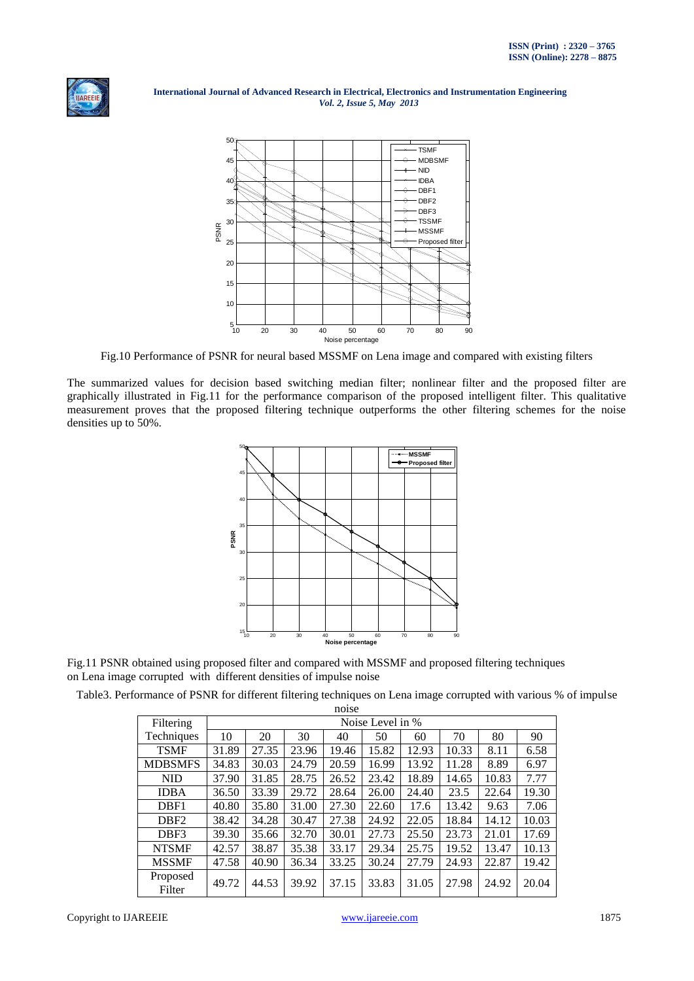



Fig.10 Performance of PSNR for neural based MSSMF on Lena image and compared with existing filters

The summarized values for decision based switching median filter; nonlinear filter and the proposed filter are graphically illustrated in Fig.11 for the performance comparison of the proposed intelligent filter. This qualitative measurement proves that the proposed filtering technique outperforms the other filtering schemes for the noise densities up to 50%.



Fig.11 PSNR obtained using proposed filter and compared with MSSMF and proposed filtering techniques on Lena image corrupted with different densities of impulse noise

Table3. Performance of PSNR for different filtering techniques on Lena image corrupted with various % of impulse noise

|                    |                  |       |       | TIOTSC |       |       |       |       |       |
|--------------------|------------------|-------|-------|--------|-------|-------|-------|-------|-------|
| Filtering          | Noise Level in % |       |       |        |       |       |       |       |       |
| Techniques         | 10               | 20    | 30    | 40     | 50    | 60    | 70    | 80    | 90    |
| <b>TSMF</b>        | 31.89            | 27.35 | 23.96 | 19.46  | 15.82 | 12.93 | 10.33 | 8.11  | 6.58  |
| <b>MDBSMFS</b>     | 34.83            | 30.03 | 24.79 | 20.59  | 16.99 | 13.92 | 11.28 | 8.89  | 6.97  |
| <b>NID</b>         | 37.90            | 31.85 | 28.75 | 26.52  | 23.42 | 18.89 | 14.65 | 10.83 | 7.77  |
| <b>IDBA</b>        | 36.50            | 33.39 | 29.72 | 28.64  | 26.00 | 24.40 | 23.5  | 22.64 | 19.30 |
| DBF1               | 40.80            | 35.80 | 31.00 | 27.30  | 22.60 | 17.6  | 13.42 | 9.63  | 7.06  |
| DBF <sub>2</sub>   | 38.42            | 34.28 | 30.47 | 27.38  | 24.92 | 22.05 | 18.84 | 14.12 | 10.03 |
| DBF3               | 39.30            | 35.66 | 32.70 | 30.01  | 27.73 | 25.50 | 23.73 | 21.01 | 17.69 |
| <b>NTSMF</b>       | 42.57            | 38.87 | 35.38 | 33.17  | 29.34 | 25.75 | 19.52 | 13.47 | 10.13 |
| <b>MSSMF</b>       | 47.58            | 40.90 | 36.34 | 33.25  | 30.24 | 27.79 | 24.93 | 22.87 | 19.42 |
| Proposed<br>Filter | 49.72            | 44.53 | 39.92 | 37.15  | 33.83 | 31.05 | 27.98 | 24.92 | 20.04 |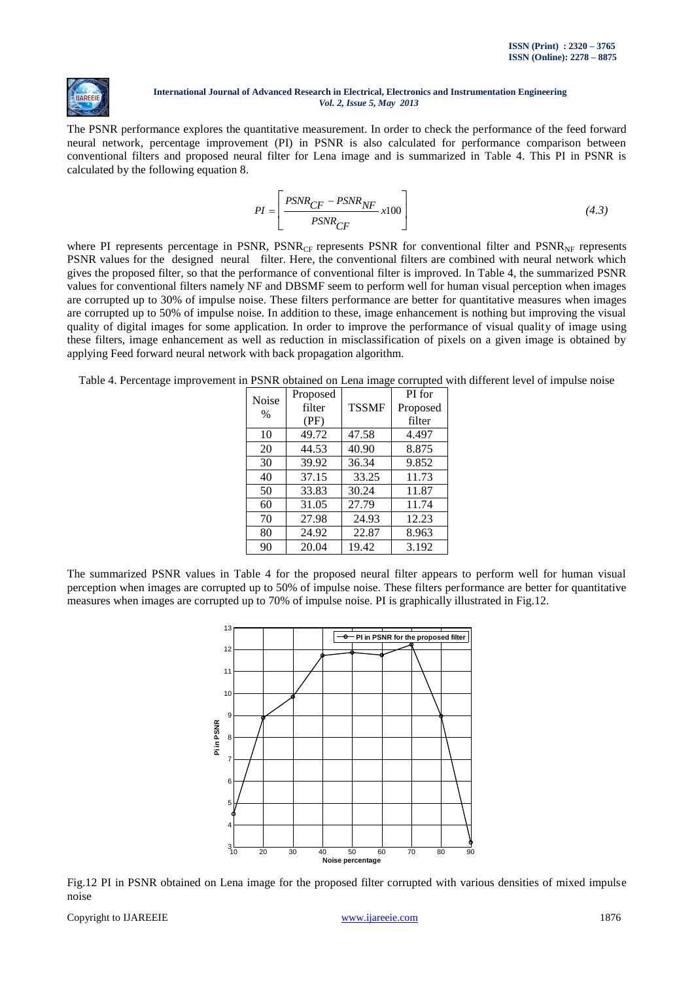

The PSNR performance explores the quantitative measurement. In order to check the performance of the feed forward neural network, percentage improvement (PI) in PSNR is also calculated for performance comparison between conventional filters and proposed neural filter for Lena image and is summarized in Table 4. This PI in PSNR is calculated by the following equation 8.

$$
PI = \left[ \frac{PSNR_{CF} - PSNR_{NF}}{PSNR_{CF}} x100 \right]
$$
\n(4.3)

where PI represents percentage in PSNR,  $PSNR_{CF}$  represents PSNR for conventional filter and  $PSNR_{NF}$  represents PSNR values for the designed neural filter. Here, the conventional filters are combined with neural network which gives the proposed filter, so that the performance of conventional filter is improved. In Table 4, the summarized PSNR values for conventional filters namely NF and DBSMF seem to perform well for human visual perception when images are corrupted up to 30% of impulse noise. These filters performance are better for quantitative measures when images are corrupted up to 50% of impulse noise. In addition to these, image enhancement is nothing but improving the visual quality of digital images for some application. In order to improve the performance of visual quality of image using these filters, image enhancement as well as reduction in misclassification of pixels on a given image is obtained by applying Feed forward neural network with back propagation algorithm.

Table 4. Percentage improvement in PSNR obtained on Lena image corrupted with different level of impulse noise

| Noise | Proposed |              | PI for   |  |
|-------|----------|--------------|----------|--|
| $\%$  | filter   | <b>TSSMF</b> | Proposed |  |
|       | (PF)     |              | filter   |  |
| 10    | 49.72    | 47.58        | 4.497    |  |
| 20    | 44.53    | 40.90        | 8.875    |  |
| 30    | 39.92    | 36.34        | 9.852    |  |
| 40    | 37.15    | 33.25        | 11.73    |  |
| 50    | 33.83    | 30.24        | 11.87    |  |
| 60    | 31.05    | 27.79        | 11.74    |  |
| 70    | 27.98    | 24.93        | 12.23    |  |
| 80    | 24.92    | 22.87        | 8.963    |  |
| 90    | 20.04    | 19.42        | 3.192    |  |

The summarized PSNR values in Table 4 for the proposed neural filter appears to perform well for human visual perception when images are corrupted up to 50% of impulse noise. These filters performance are better for quantitative measures when images are corrupted up to 70% of impulse noise. PI is graphically illustrated in Fig.12.



Fig.12 PI in PSNR obtained on Lena image for the proposed filter corrupted with various densities of mixed impulse noise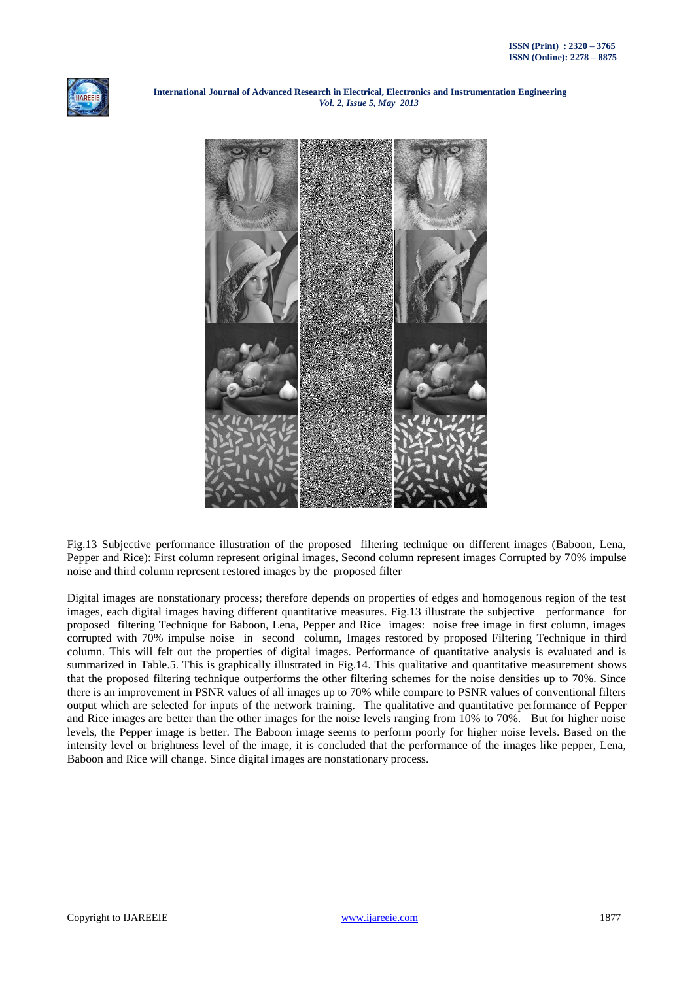



Fig.13 Subjective performance illustration of the proposed filtering technique on different images (Baboon, Lena, Pepper and Rice): First column represent original images, Second column represent images Corrupted by 70% impulse noise and third column represent restored images by the proposed filter

Digital images are nonstationary process; therefore depends on properties of edges and homogenous region of the test images, each digital images having different quantitative measures. Fig.13 illustrate the subjective performance for proposed filtering Technique for Baboon, Lena, Pepper and Rice images: noise free image in first column, images corrupted with 70% impulse noise in second column, Images restored by proposed Filtering Technique in third column. This will felt out the properties of digital images. Performance of quantitative analysis is evaluated and is summarized in Table.5. This is graphically illustrated in Fig.14. This qualitative and quantitative measurement shows that the proposed filtering technique outperforms the other filtering schemes for the noise densities up to 70%. Since there is an improvement in PSNR values of all images up to 70% while compare to PSNR values of conventional filters output which are selected for inputs of the network training. The qualitative and quantitative performance of Pepper and Rice images are better than the other images for the noise levels ranging from 10% to 70%. But for higher noise levels, the Pepper image is better. The Baboon image seems to perform poorly for higher noise levels. Based on the intensity level or brightness level of the image, it is concluded that the performance of the images like pepper, Lena, Baboon and Rice will change. Since digital images are nonstationary process.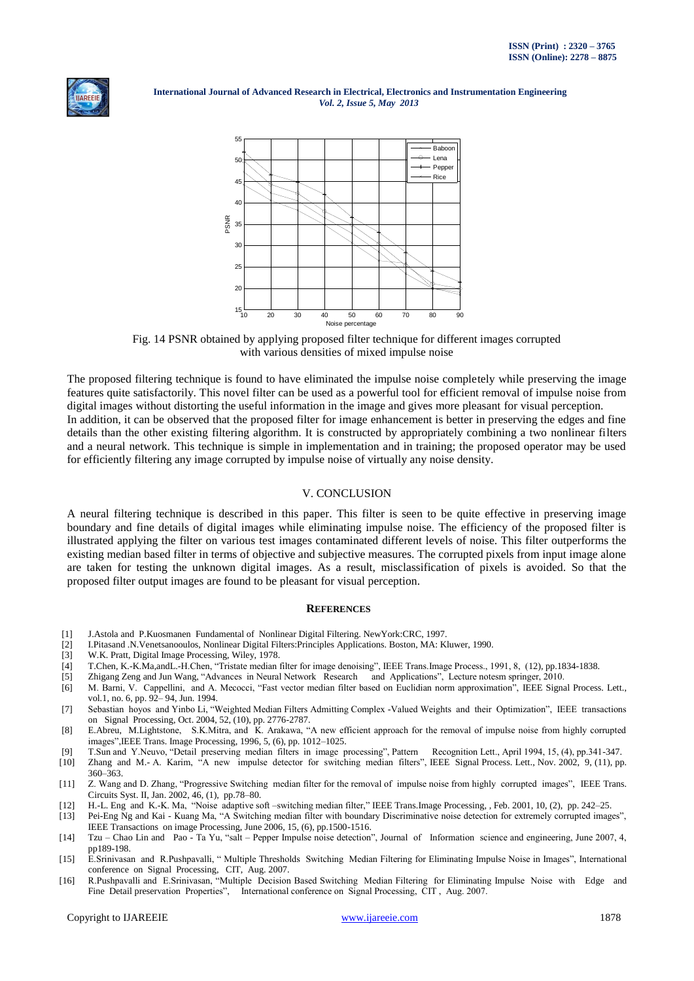



Fig. 14 PSNR obtained by applying proposed filter technique for different images corrupted with various densities of mixed impulse noise

The proposed filtering technique is found to have eliminated the impulse noise completely while preserving the image features quite satisfactorily. This novel filter can be used as a powerful tool for efficient removal of impulse noise from digital images without distorting the useful information in the image and gives more pleasant for visual perception. In addition, it can be observed that the proposed filter for image enhancement is better in preserving the edges and fine details than the other existing filtering algorithm. It is constructed by appropriately combining a two nonlinear filters and a neural network. This technique is simple in implementation and in training; the proposed operator may be used for efficiently filtering any image corrupted by impulse noise of virtually any noise density.

## V. CONCLUSION

A neural filtering technique is described in this paper. This filter is seen to be quite effective in preserving image boundary and fine details of digital images while eliminating impulse noise. The efficiency of the proposed filter is illustrated applying the filter on various test images contaminated different levels of noise. This filter outperforms the existing median based filter in terms of objective and subjective measures. The corrupted pixels from input image alone are taken for testing the unknown digital images. As a result, misclassification of pixels is avoided. So that the proposed filter output images are found to be pleasant for visual perception.

## **REFERENCES**

- [1] J.Astola and P.Kuosmanen Fundamental of Nonlinear Digital Filtering. NewYork:CRC, 1997.
- [2] I.Pitasand .N.Venetsanooulos, Nonlinear Digital Filters:Principles Applications. Boston, MA: Kluwer, 1990.
- [3] W.K. Pratt, Digital Image Processing, Wiley, 1978.
- [4] T.Chen, K.-K.Ma,andL.-H.Chen, "Tristate median filter for image denoising", IEEE Trans.Image Process., 1991, 8, (12), pp.1834-1838.
- [5] [Zhigang Zeng](http://www.springerlink.com/content/?Editor=Zhigang+Zeng) an[d Jun Wang,](http://www.springerlink.com/content/?Editor=Jun+Wang) "Advances in Neural Network Research and Applications", Lecture notesm springer, 2010.
- [6] M. Barni, V. Cappellini, and A. Mecocci, "Fast vector median filter based on Euclidian norm approximation", IEEE Signal Process. Lett., vol.1, no. 6, pp. 92– 94, Jun. 1994.
- [7] Sebastian hoyos and Yinbo Li, "Weighted Median Filters Admitting Complex -Valued Weights and their Optimization", IEEE transactions on Signal Processing, Oct. 2004, 52, (10), pp. 2776-2787.
- [8] E.Abreu, M.Lightstone, S.K.Mitra, and K. Arakawa, "A new efficient approach for the removal of impulse noise from highly corrupted images",IEEE Trans. Image Processing, 1996, 5, (6), pp. 1012–1025.
- [9] T.Sun and Y.Neuvo, "Detail preserving median filters in image processing", Pattern Recognition Lett., April 1994, 15, (4), pp.341-347.
- [10] Zhang and M.- A. Karim, "A new impulse detector for switching median filters", IEEE Signal Process. Lett., Nov. 2002, 9, (11), pp. 360–363.
- [11] Z. Wang and D. Zhang, "Progressive Switching median filter for the removal of impulse noise from highly corrupted images", IEEE Trans. Circuits Syst. II, Jan. 2002, 46, (1), pp.78–80.
- [12] H.-L. Eng and K.-K. Ma, "Noise adaptive soft –switching median filter," IEEE Trans.Image Processing, , Feb. 2001, 10, (2), pp. 242–25.
- [13] Pei-Eng Ng and Kai Kuang Ma, "A Switching median filter with boundary Discriminative noise detection for extremely corrupted images", IEEE Transactions on image Processing, June 2006, 15, (6), pp.1500-1516.
- [14] Tzu Chao Lin and Pao Ta Yu, "salt Pepper Impulse noise detection", Journal of Information science and engineering, June 2007, 4, pp189-198.
- [15] E.Srinivasan and R.Pushpavalli, " Multiple Thresholds Switching Median Filtering for Eliminating Impulse Noise in Images", International conference on Signal Processing, CIT, Aug. 2007.
- [16] R.Pushpavalli and E.Srinivasan, "Multiple Decision Based Switching Median Filtering for Eliminating Impulse Noise with Edge and Fine Detail preservation Properties", International conference on Signal Processing, CIT , Aug. 2007.